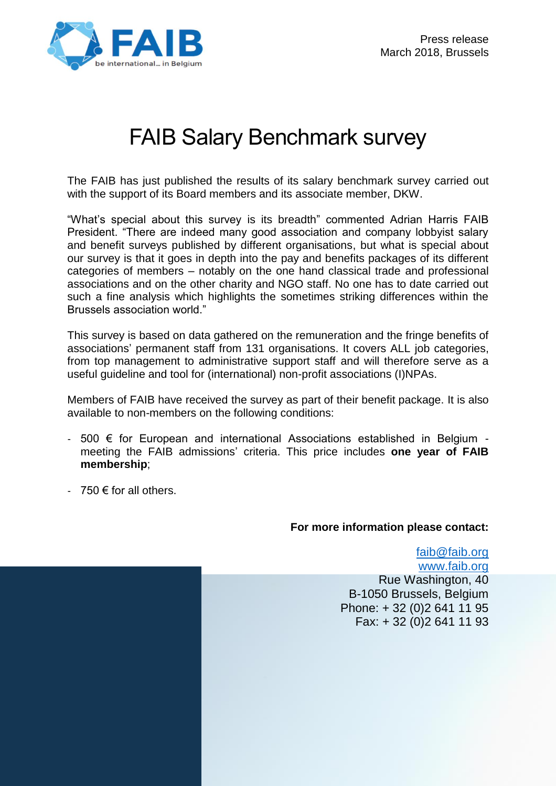

## FAIB Salary Benchmark survey

The FAIB has just published the results of its salary benchmark survey carried out with the support of its Board members and its associate member, DKW.

"What's special about this survey is its breadth" commented Adrian Harris FAIB President. "There are indeed many good association and company lobbyist salary and benefit surveys published by different organisations, but what is special about our survey is that it goes in depth into the pay and benefits packages of its different categories of members – notably on the one hand classical trade and professional associations and on the other charity and NGO staff. No one has to date carried out such a fine analysis which highlights the sometimes striking differences within the Brussels association world."

This survey is based on data gathered on the remuneration and the fringe benefits of associations' permanent staff from 131 organisations. It covers ALL job categories, from top management to administrative support staff and will therefore serve as a useful guideline and tool for (international) non-profit associations (I)NPAs.

Members of FAIB have received the survey as part of their benefit package. It is also available to non-members on the following conditions:

- $500 \text{ } \in$  for European and international Associations established in Belgium meeting the FAIB admissions' criteria. This price includes **one year of FAIB membership**;
- $-750 \notin$  for all others.

## **For more information please contact:**

[faib@faib.org](mailto:faib@faib.org) [www.faib.org](http://www.faib.org/) Rue Washington, 40 B-1050 Brussels, Belgium Phone: + 32 (0)2 641 11 95 Fax: + 32 (0)2 641 11 93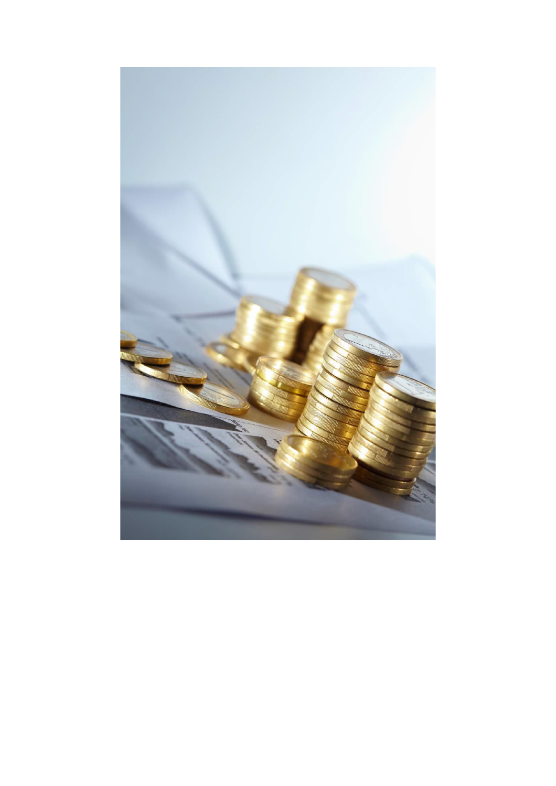